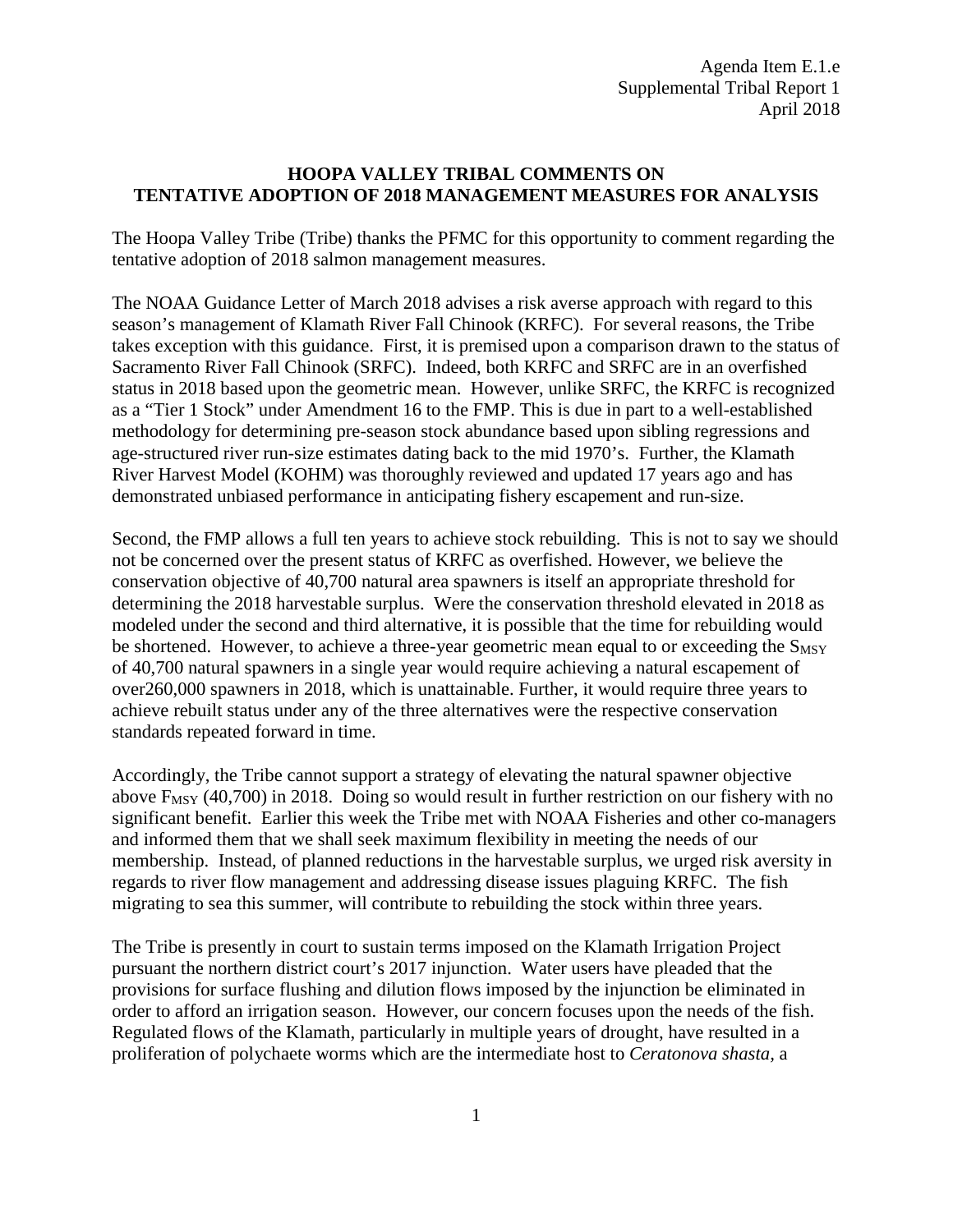## **HOOPA VALLEY TRIBAL COMMENTS ON TENTATIVE ADOPTION OF 2018 MANAGEMENT MEASURES FOR ANALYSIS**

The Hoopa Valley Tribe (Tribe) thanks the PFMC for this opportunity to comment regarding the tentative adoption of 2018 salmon management measures.

The NOAA Guidance Letter of March 2018 advises a risk averse approach with regard to this season's management of Klamath River Fall Chinook (KRFC). For several reasons, the Tribe takes exception with this guidance. First, it is premised upon a comparison drawn to the status of Sacramento River Fall Chinook (SRFC). Indeed, both KRFC and SRFC are in an overfished status in 2018 based upon the geometric mean. However, unlike SRFC, the KRFC is recognized as a "Tier 1 Stock" under Amendment 16 to the FMP. This is due in part to a well-established methodology for determining pre-season stock abundance based upon sibling regressions and age-structured river run-size estimates dating back to the mid 1970's. Further, the Klamath River Harvest Model (KOHM) was thoroughly reviewed and updated 17 years ago and has demonstrated unbiased performance in anticipating fishery escapement and run-size.

Second, the FMP allows a full ten years to achieve stock rebuilding. This is not to say we should not be concerned over the present status of KRFC as overfished. However, we believe the conservation objective of 40,700 natural area spawners is itself an appropriate threshold for determining the 2018 harvestable surplus. Were the conservation threshold elevated in 2018 as modeled under the second and third alternative, it is possible that the time for rebuilding would be shortened. However, to achieve a three-year geometric mean equal to or exceeding the S<sub>MSY</sub> of 40,700 natural spawners in a single year would require achieving a natural escapement of over260,000 spawners in 2018, which is unattainable. Further, it would require three years to achieve rebuilt status under any of the three alternatives were the respective conservation standards repeated forward in time.

Accordingly, the Tribe cannot support a strategy of elevating the natural spawner objective above  $F_{MSY}$  (40,700) in 2018. Doing so would result in further restriction on our fishery with no significant benefit. Earlier this week the Tribe met with NOAA Fisheries and other co-managers and informed them that we shall seek maximum flexibility in meeting the needs of our membership. Instead, of planned reductions in the harvestable surplus, we urged risk aversity in regards to river flow management and addressing disease issues plaguing KRFC. The fish migrating to sea this summer, will contribute to rebuilding the stock within three years.

The Tribe is presently in court to sustain terms imposed on the Klamath Irrigation Project pursuant the northern district court's 2017 injunction. Water users have pleaded that the provisions for surface flushing and dilution flows imposed by the injunction be eliminated in order to afford an irrigation season. However, our concern focuses upon the needs of the fish. Regulated flows of the Klamath, particularly in multiple years of drought, have resulted in a proliferation of polychaete worms which are the intermediate host to *Ceratonova shasta,* a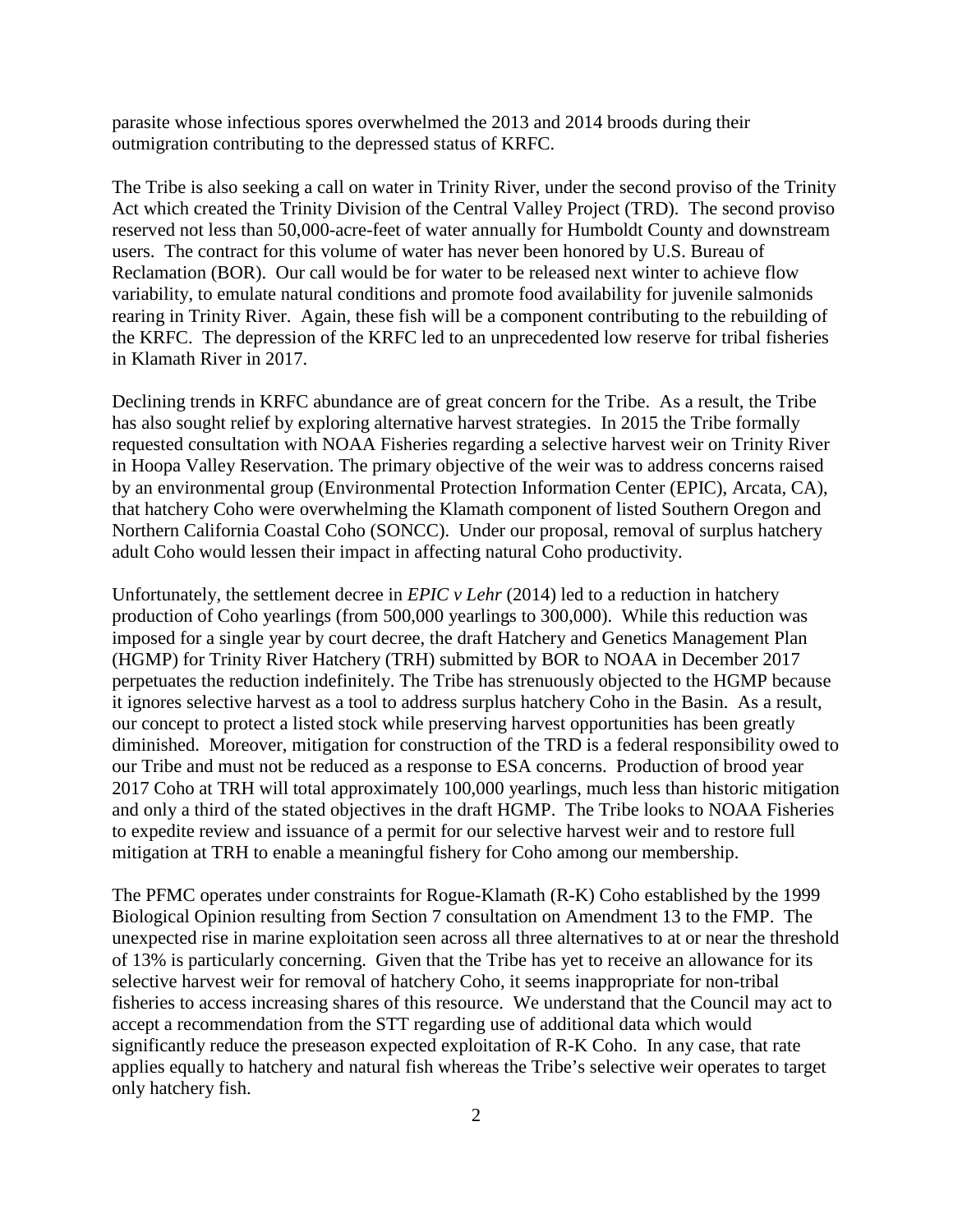parasite whose infectious spores overwhelmed the 2013 and 2014 broods during their outmigration contributing to the depressed status of KRFC.

The Tribe is also seeking a call on water in Trinity River, under the second proviso of the Trinity Act which created the Trinity Division of the Central Valley Project (TRD). The second proviso reserved not less than 50,000-acre-feet of water annually for Humboldt County and downstream users. The contract for this volume of water has never been honored by U.S. Bureau of Reclamation (BOR). Our call would be for water to be released next winter to achieve flow variability, to emulate natural conditions and promote food availability for juvenile salmonids rearing in Trinity River. Again, these fish will be a component contributing to the rebuilding of the KRFC. The depression of the KRFC led to an unprecedented low reserve for tribal fisheries in Klamath River in 2017.

Declining trends in KRFC abundance are of great concern for the Tribe. As a result, the Tribe has also sought relief by exploring alternative harvest strategies. In 2015 the Tribe formally requested consultation with NOAA Fisheries regarding a selective harvest weir on Trinity River in Hoopa Valley Reservation. The primary objective of the weir was to address concerns raised by an environmental group (Environmental Protection Information Center (EPIC), Arcata, CA), that hatchery Coho were overwhelming the Klamath component of listed Southern Oregon and Northern California Coastal Coho (SONCC). Under our proposal, removal of surplus hatchery adult Coho would lessen their impact in affecting natural Coho productivity.

Unfortunately, the settlement decree in *EPIC v Lehr* (2014) led to a reduction in hatchery production of Coho yearlings (from 500,000 yearlings to 300,000). While this reduction was imposed for a single year by court decree, the draft Hatchery and Genetics Management Plan (HGMP) for Trinity River Hatchery (TRH) submitted by BOR to NOAA in December 2017 perpetuates the reduction indefinitely. The Tribe has strenuously objected to the HGMP because it ignores selective harvest as a tool to address surplus hatchery Coho in the Basin. As a result, our concept to protect a listed stock while preserving harvest opportunities has been greatly diminished. Moreover, mitigation for construction of the TRD is a federal responsibility owed to our Tribe and must not be reduced as a response to ESA concerns. Production of brood year 2017 Coho at TRH will total approximately 100,000 yearlings, much less than historic mitigation and only a third of the stated objectives in the draft HGMP. The Tribe looks to NOAA Fisheries to expedite review and issuance of a permit for our selective harvest weir and to restore full mitigation at TRH to enable a meaningful fishery for Coho among our membership.

The PFMC operates under constraints for Rogue-Klamath (R-K) Coho established by the 1999 Biological Opinion resulting from Section 7 consultation on Amendment 13 to the FMP. The unexpected rise in marine exploitation seen across all three alternatives to at or near the threshold of 13% is particularly concerning. Given that the Tribe has yet to receive an allowance for its selective harvest weir for removal of hatchery Coho, it seems inappropriate for non-tribal fisheries to access increasing shares of this resource. We understand that the Council may act to accept a recommendation from the STT regarding use of additional data which would significantly reduce the preseason expected exploitation of R-K Coho. In any case, that rate applies equally to hatchery and natural fish whereas the Tribe's selective weir operates to target only hatchery fish.